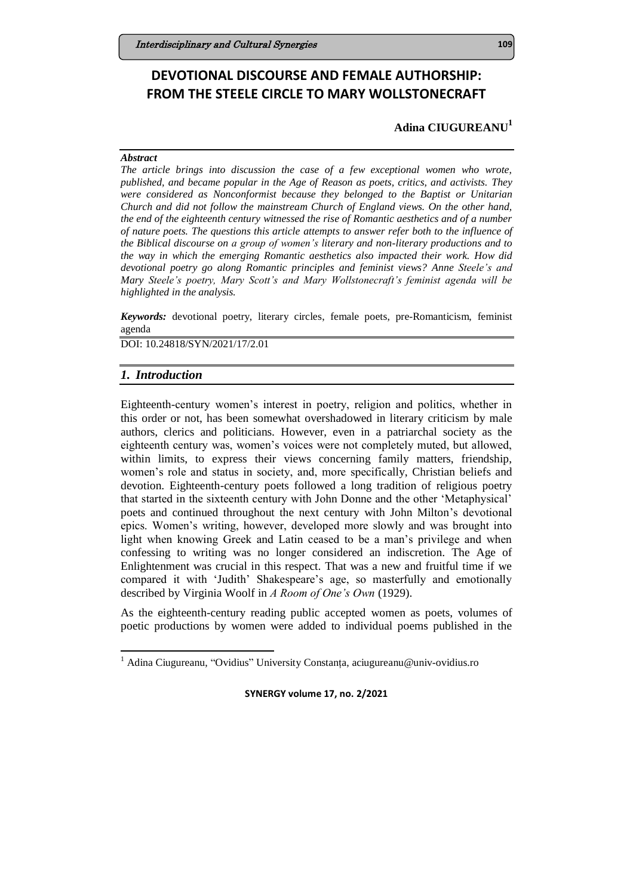# **DEVOTIONAL DISCOURSE AND FEMALE AUTHORSHIP: FROM THE STEELE CIRCLE TO MARY WOLLSTONECRAFT**

# **Adina CIUGUREANU<sup>1</sup>**

### *Abstract*

*The article brings into discussion the case of a few exceptional women who wrote, published, and became popular in the Age of Reason as poets, critics, and activists. They were considered as Nonconformist because they belonged to the Baptist or Unitarian Church and did not follow the mainstream Church of England views. On the other hand, the end of the eighteenth century witnessed the rise of Romantic aesthetics and of a number of nature poets. The questions this article attempts to answer refer both to the influence of the Biblical discourse on a group of women's literary and non-literary productions and to the way in which the emerging Romantic aesthetics also impacted their work. How did devotional poetry go along Romantic principles and feminist views? Anne Steele's and Mary Steele's poetry, Mary Scott's and Mary Wollstonecraft's feminist agenda will be highlighted in the analysis.*

*Keywords:* devotional poetry, literary circles, female poets, pre-Romanticism, feminist agenda

DOI: 10.24818/SYN/2021/17/2.01

### *1. Introduction*

1

Eighteenth-century women's interest in poetry, religion and politics, whether in this order or not, has been somewhat overshadowed in literary criticism by male authors, clerics and politicians. However, even in a patriarchal society as the eighteenth century was, women's voices were not completely muted, but allowed, within limits, to express their views concerning family matters, friendship, women's role and status in society, and, more specifically, Christian beliefs and devotion. Eighteenth-century poets followed a long tradition of religious poetry that started in the sixteenth century with John Donne and the other 'Metaphysical' poets and continued throughout the next century with John Milton's devotional epics. Women's writing, however, developed more slowly and was brought into light when knowing Greek and Latin ceased to be a man's privilege and when confessing to writing was no longer considered an indiscretion. The Age of Enlightenment was crucial in this respect. That was a new and fruitful time if we compared it with 'Judith' Shakespeare's age, so masterfully and emotionally described by Virginia Woolf in *A Room of One's Own* (1929).

As the eighteenth-century reading public accepted women as poets, volumes of poetic productions by women were added to individual poems published in the

<sup>1</sup> Adina Ciugureanu, "Ovidius" University Constanța, aciugureanu@univ-ovidius.ro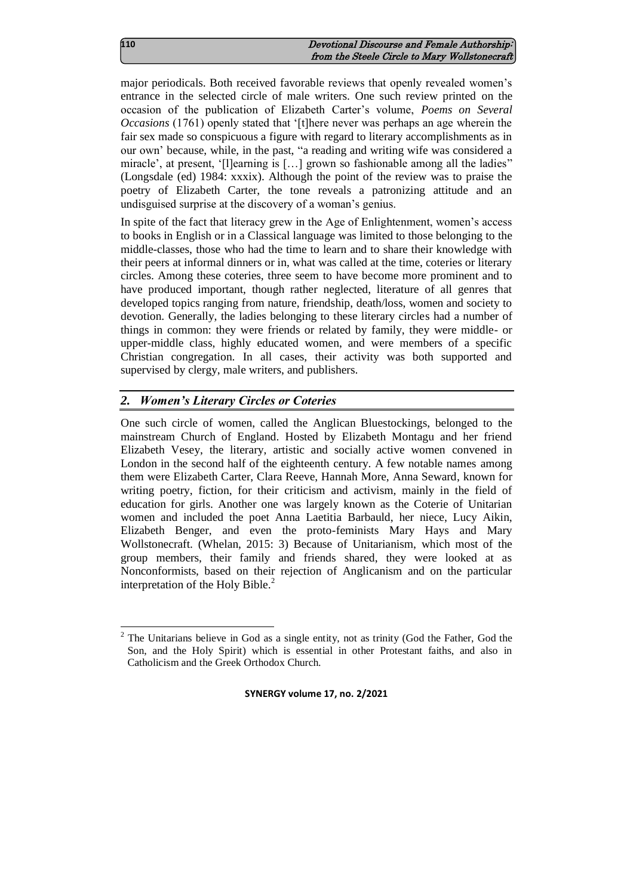| 110 | Devotional Discourse and Female Authorship:   |
|-----|-----------------------------------------------|
|     | from the Steele Circle to Mary Wollstonecraft |

major periodicals. Both received favorable reviews that openly revealed women's entrance in the selected circle of male writers. One such review printed on the occasion of the publication of Elizabeth Carter's volume, *Poems on Several Occasions* (1761) openly stated that '[t]here never was perhaps an age wherein the fair sex made so conspicuous a figure with regard to literary accomplishments as in our own' because, while, in the past, "a reading and writing wife was considered a miracle', at present, '[l]earning is […] grown so fashionable among all the ladies" (Longsdale (ed) 1984: xxxix). Although the point of the review was to praise the poetry of Elizabeth Carter, the tone reveals a patronizing attitude and an undisguised surprise at the discovery of a woman's genius.

In spite of the fact that literacy grew in the Age of Enlightenment, women's access to books in English or in a Classical language was limited to those belonging to the middle-classes, those who had the time to learn and to share their knowledge with their peers at informal dinners or in, what was called at the time, coteries or literary circles. Among these coteries, three seem to have become more prominent and to have produced important, though rather neglected, literature of all genres that developed topics ranging from nature, friendship, death/loss, women and society to devotion. Generally, the ladies belonging to these literary circles had a number of things in common: they were friends or related by family, they were middle- or upper-middle class, highly educated women, and were members of a specific Christian congregation. In all cases, their activity was both supported and supervised by clergy, male writers, and publishers.

# *2. Women's Literary Circles or Coteries*

One such circle of women, called the Anglican Bluestockings, belonged to the mainstream Church of England. Hosted by Elizabeth Montagu and her friend Elizabeth Vesey, the literary, artistic and socially active women convened in London in the second half of the eighteenth century. A few notable names among them were Elizabeth Carter, Clara Reeve, Hannah More, Anna Seward, known for writing poetry, fiction, for their criticism and activism, mainly in the field of education for girls. Another one was largely known as the Coterie of Unitarian women and included the poet Anna Laetitia Barbauld, her niece, Lucy Aikin, Elizabeth Benger, and even the proto-feminists Mary Hays and Mary Wollstonecraft. (Whelan, 2015: 3) Because of Unitarianism, which most of the group members, their family and friends shared, they were looked at as Nonconformists, based on their rejection of Anglicanism and on the particular interpretation of the Holy Bible. $<sup>2</sup>$ </sup>

<sup>&</sup>lt;sup>2</sup> The Unitarians believe in God as a single entity, not as trinity (God the Father, God the Son, and the Holy Spirit) which is essential in other Protestant faiths, and also in Catholicism and the Greek Orthodox Church.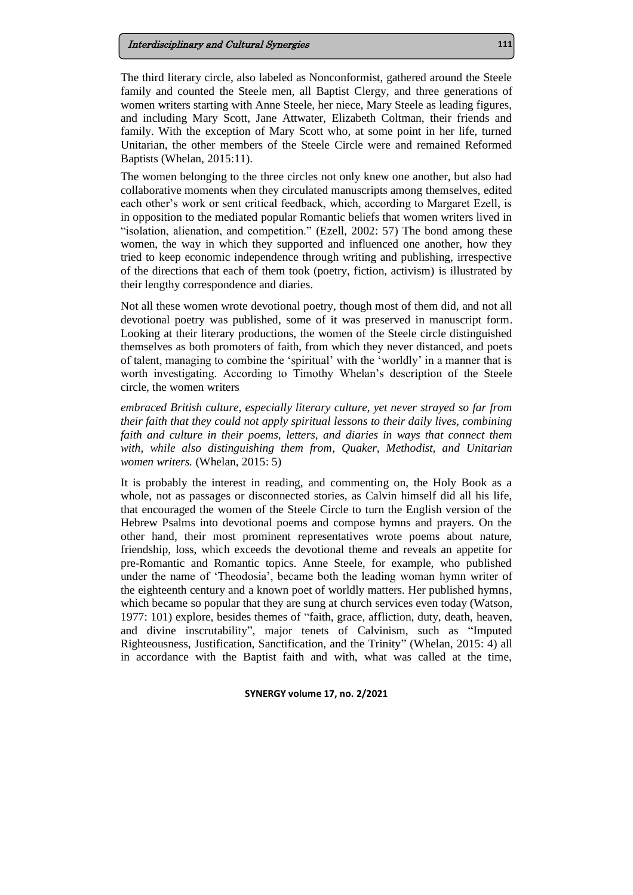#### Interdisciplinary and Cultural Synergies **111**

The third literary circle, also labeled as Nonconformist, gathered around the Steele family and counted the Steele men, all Baptist Clergy, and three generations of women writers starting with Anne Steele, her niece, Mary Steele as leading figures, and including Mary Scott, Jane Attwater, Elizabeth Coltman, their friends and family. With the exception of Mary Scott who, at some point in her life, turned Unitarian, the other members of the Steele Circle were and remained Reformed Baptists (Whelan, 2015:11).

The women belonging to the three circles not only knew one another, but also had collaborative moments when they circulated manuscripts among themselves, edited each other's work or sent critical feedback, which, according to Margaret Ezell, is in opposition to the mediated popular Romantic beliefs that women writers lived in "isolation, alienation, and competition." (Ezell, 2002: 57) The bond among these women, the way in which they supported and influenced one another, how they tried to keep economic independence through writing and publishing, irrespective of the directions that each of them took (poetry, fiction, activism) is illustrated by their lengthy correspondence and diaries.

Not all these women wrote devotional poetry, though most of them did, and not all devotional poetry was published, some of it was preserved in manuscript form. Looking at their literary productions, the women of the Steele circle distinguished themselves as both promoters of faith, from which they never distanced, and poets of talent, managing to combine the 'spiritual' with the 'worldly' in a manner that is worth investigating. According to Timothy Whelan's description of the Steele circle, the women writers

*embraced British culture, especially literary culture, yet never strayed so far from their faith that they could not apply spiritual lessons to their daily lives, combining faith and culture in their poems, letters, and diaries in ways that connect them with, while also distinguishing them from, Quaker, Methodist, and Unitarian women writers.* (Whelan, 2015: 5)

It is probably the interest in reading, and commenting on, the Holy Book as a whole, not as passages or disconnected stories, as Calvin himself did all his life, that encouraged the women of the Steele Circle to turn the English version of the Hebrew Psalms into devotional poems and compose hymns and prayers. On the other hand, their most prominent representatives wrote poems about nature, friendship, loss, which exceeds the devotional theme and reveals an appetite for pre-Romantic and Romantic topics. Anne Steele, for example, who published under the name of 'Theodosia', became both the leading woman hymn writer of the eighteenth century and a known poet of worldly matters. Her published hymns, which became so popular that they are sung at church services even today (Watson, 1977: 101) explore, besides themes of "faith, grace, affliction, duty, death, heaven, and divine inscrutability", major tenets of Calvinism, such as "Imputed Righteousness, Justification, Sanctification, and the Trinity" (Whelan, 2015: 4) all in accordance with the Baptist faith and with, what was called at the time,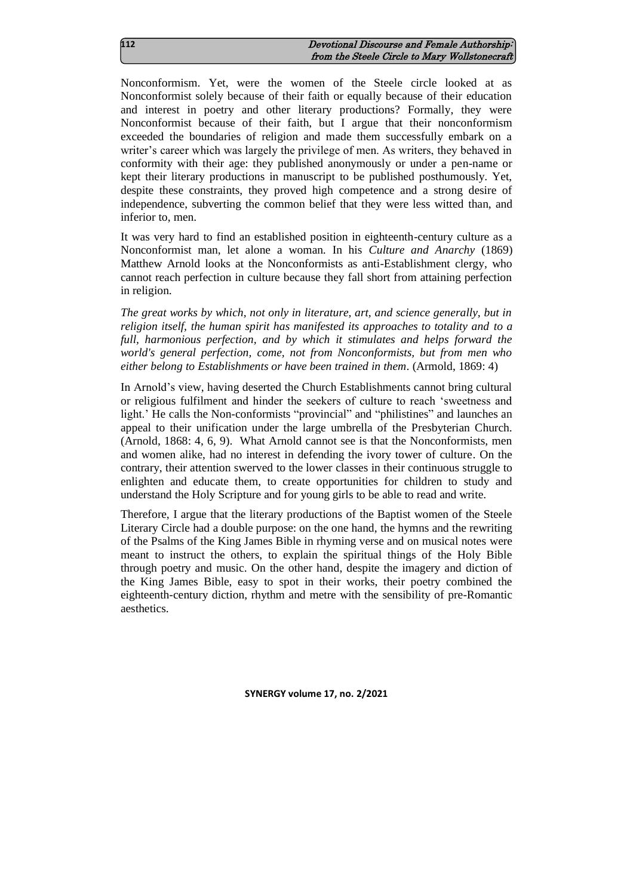| 112 | Devotional Discourse and Female Authorship:   |
|-----|-----------------------------------------------|
|     | from the Steele Circle to Mary Wollstonecraft |

Nonconformism. Yet, were the women of the Steele circle looked at as Nonconformist solely because of their faith or equally because of their education and interest in poetry and other literary productions? Formally, they were Nonconformist because of their faith, but I argue that their nonconformism exceeded the boundaries of religion and made them successfully embark on a writer's career which was largely the privilege of men. As writers, they behaved in conformity with their age: they published anonymously or under a pen-name or kept their literary productions in manuscript to be published posthumously. Yet, despite these constraints, they proved high competence and a strong desire of independence, subverting the common belief that they were less witted than, and inferior to, men.

It was very hard to find an established position in eighteenth-century culture as a Nonconformist man, let alone a woman. In his *Culture and Anarchy* (1869) Matthew Arnold looks at the Nonconformists as anti-Establishment clergy, who cannot reach perfection in culture because they fall short from attaining perfection in religion.

*The great works by which, not only in literature, art, and science generally, but in religion itself, the human spirit has manifested its approaches to totality and to a full, harmonious perfection, and by which it stimulates and helps forward the world's general perfection, come, not from Nonconformists, but from men who either belong to Establishments or have been trained in them.* (Armold, 1869: 4)

In Arnold's view, having deserted the Church Establishments cannot bring cultural or religious fulfilment and hinder the seekers of culture to reach 'sweetness and light.' He calls the Non-conformists "provincial" and "philistines" and launches an appeal to their unification under the large umbrella of the Presbyterian Church. (Arnold, 1868: 4, 6, 9). What Arnold cannot see is that the Nonconformists, men and women alike, had no interest in defending the ivory tower of culture. On the contrary, their attention swerved to the lower classes in their continuous struggle to enlighten and educate them, to create opportunities for children to study and understand the Holy Scripture and for young girls to be able to read and write.

Therefore, I argue that the literary productions of the Baptist women of the Steele Literary Circle had a double purpose: on the one hand, the hymns and the rewriting of the Psalms of the King James Bible in rhyming verse and on musical notes were meant to instruct the others, to explain the spiritual things of the Holy Bible through poetry and music. On the other hand, despite the imagery and diction of the King James Bible, easy to spot in their works, their poetry combined the eighteenth-century diction, rhythm and metre with the sensibility of pre-Romantic aesthetics.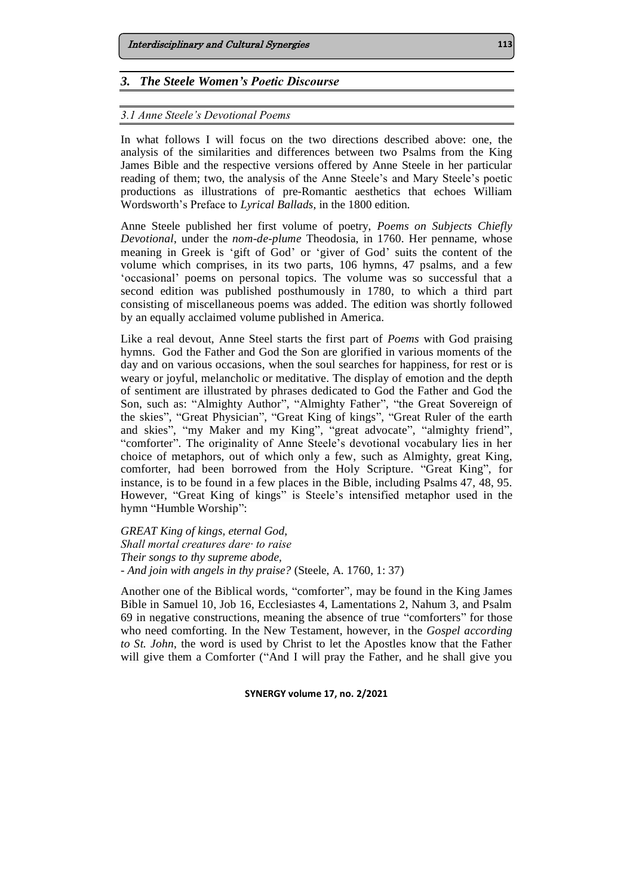### *3. The Steele Women's Poetic Discourse*

### *3.1 Anne Steele's Devotional Poems*

In what follows I will focus on the two directions described above: one, the analysis of the similarities and differences between two Psalms from the King James Bible and the respective versions offered by Anne Steele in her particular reading of them; two, the analysis of the Anne Steele's and Mary Steele's poetic productions as illustrations of pre-Romantic aesthetics that echoes William Wordsworth's Preface to *Lyrical Ballads*, in the 1800 edition.

Anne Steele published her first volume of poetry, *Poems on Subjects Chiefly Devotional*, under the *nom-de-plume* Theodosia, in 1760. Her penname, whose meaning in Greek is 'gift of God' or 'giver of God' suits the content of the volume which comprises, in its two parts, 106 hymns, 47 psalms, and a few 'occasional' poems on personal topics. The volume was so successful that a second edition was published posthumously in 1780, to which a third part consisting of miscellaneous poems was added. The edition was shortly followed by an equally acclaimed volume published in America.

Like a real devout, Anne Steel starts the first part of *Poems* with God praising hymns. God the Father and God the Son are glorified in various moments of the day and on various occasions, when the soul searches for happiness, for rest or is weary or joyful, melancholic or meditative. The display of emotion and the depth of sentiment are illustrated by phrases dedicated to God the Father and God the Son, such as: "Almighty Author", "Almighty Father", "the Great Sovereign of the skies", "Great Physician", "Great King of kings", "Great Ruler of the earth and skies", "my Maker and my King", "great advocate", "almighty friend", "comforter". The originality of Anne Steele's devotional vocabulary lies in her choice of metaphors, out of which only a few, such as Almighty, great King, comforter, had been borrowed from the Holy Scripture. "Great King", for instance, is to be found in a few places in the Bible, including Psalms 47, 48, 95. However, "Great King of kings" is Steele's intensified metaphor used in the hymn "Humble Worship":

*GREAT King of kings, eternal God, Shall mortal creatures dare· to raise Their songs to thy supreme abode, - And join with angels in thy praise?* (Steele, A. 1760, 1: 37)

Another one of the Biblical words, "comforter", may be found in the King James Bible in Samuel 10, Job 16, Ecclesiastes 4, Lamentations 2, Nahum 3, and Psalm 69 in negative constructions, meaning the absence of true "comforters" for those who need comforting. In the New Testament, however, in the *Gospel according to St. John*, the word is used by Christ to let the Apostles know that the Father will give them a Comforter ("And I will pray the Father, and he shall give you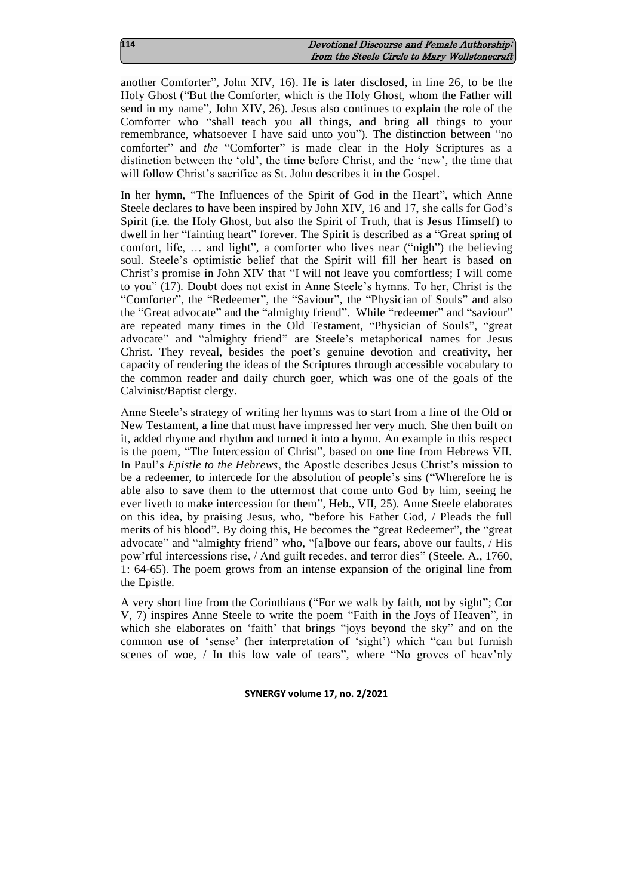| 114 | Devotional Discourse and Female Authorship:   |
|-----|-----------------------------------------------|
|     | from the Steele Circle to Mary Wollstonecraft |

another Comforter", John XIV, 16). He is later disclosed, in line 26, to be the Holy Ghost ("But the Comforter, which *is* the Holy Ghost, whom the Father will send in my name", John XIV, 26). Jesus also continues to explain the role of the Comforter who "shall teach you all things, and bring all things to your remembrance, whatsoever I have said unto you"). The distinction between "no comforter" and *the* "Comforter" is made clear in the Holy Scriptures as a distinction between the 'old', the time before Christ, and the 'new', the time that will follow Christ's sacrifice as St. John describes it in the Gospel.

In her hymn, "The Influences of the Spirit of God in the Heart", which Anne Steele declares to have been inspired by John XIV, 16 and 17, she calls for God's Spirit (i.e. the Holy Ghost, but also the Spirit of Truth, that is Jesus Himself) to dwell in her "fainting heart" forever. The Spirit is described as a "Great spring of comfort, life, … and light", a comforter who lives near ("nigh") the believing soul. Steele's optimistic belief that the Spirit will fill her heart is based on Christ's promise in John XIV that "I will not leave you comfortless; I will come to you" (17). Doubt does not exist in Anne Steele's hymns. To her, Christ is the "Comforter", the "Redeemer", the "Saviour", the "Physician of Souls" and also the "Great advocate" and the "almighty friend". While "redeemer" and "saviour" are repeated many times in the Old Testament, "Physician of Souls", "great advocate" and "almighty friend" are Steele's metaphorical names for Jesus Christ. They reveal, besides the poet's genuine devotion and creativity, her capacity of rendering the ideas of the Scriptures through accessible vocabulary to the common reader and daily church goer, which was one of the goals of the Calvinist/Baptist clergy.

Anne Steele's strategy of writing her hymns was to start from a line of the Old or New Testament, a line that must have impressed her very much. She then built on it, added rhyme and rhythm and turned it into a hymn. An example in this respect is the poem, "The Intercession of Christ", based on one line from Hebrews VII. In Paul's *Epistle to the Hebrews*, the Apostle describes Jesus Christ's mission to be a redeemer, to intercede for the absolution of people's sins ("Wherefore he is able also to save them to the uttermost that come unto God by him, seeing he ever liveth to make intercession for them", Heb., VII, 25). Anne Steele elaborates on this idea, by praising Jesus, who, "before his Father God, / Pleads the full merits of his blood". By doing this, He becomes the "great Redeemer", the "great advocate" and "almighty friend" who, "[a]bove our fears, above our faults, / His pow'rful intercessions rise, / And guilt recedes, and terror dies" (Steele. A., 1760, 1: 64-65). The poem grows from an intense expansion of the original line from the Epistle.

A very short line from the Corinthians ("For we walk by faith, not by sight"; Cor V, 7) inspires Anne Steele to write the poem "Faith in the Joys of Heaven", in which she elaborates on 'faith' that brings "joys beyond the sky" and on the common use of 'sense' (her interpretation of 'sight') which "can but furnish scenes of woe, / In this low vale of tears", where "No groves of heav'nly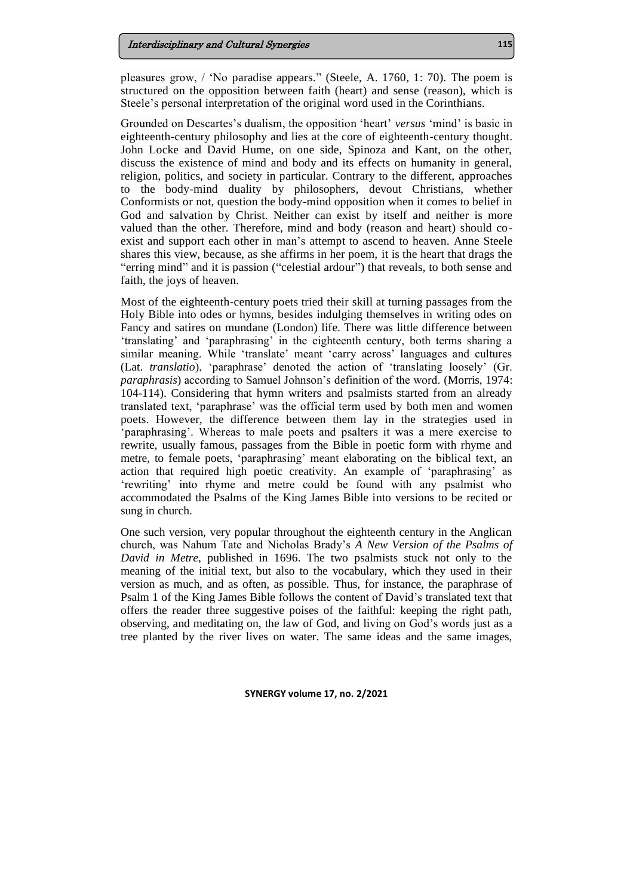pleasures grow, / 'No paradise appears." (Steele, A. 1760, 1: 70). The poem is structured on the opposition between faith (heart) and sense (reason), which is Steele's personal interpretation of the original word used in the Corinthians.

Grounded on Descartes's dualism, the opposition 'heart' *versus* 'mind' is basic in eighteenth-century philosophy and lies at the core of eighteenth-century thought. John Locke and David Hume, on one side, Spinoza and Kant, on the other, discuss the existence of mind and body and its effects on humanity in general, religion, politics, and society in particular. Contrary to the different, approaches to the body-mind duality by philosophers, devout Christians, whether Conformists or not, question the body-mind opposition when it comes to belief in God and salvation by Christ. Neither can exist by itself and neither is more valued than the other. Therefore, mind and body (reason and heart) should coexist and support each other in man's attempt to ascend to heaven. Anne Steele shares this view, because, as she affirms in her poem, it is the heart that drags the "erring mind" and it is passion ("celestial ardour") that reveals, to both sense and faith, the joys of heaven.

Most of the eighteenth-century poets tried their skill at turning passages from the Holy Bible into odes or hymns, besides indulging themselves in writing odes on Fancy and satires on mundane (London) life. There was little difference between 'translating' and 'paraphrasing' in the eighteenth century, both terms sharing a similar meaning. While 'translate' meant 'carry across' languages and cultures (Lat. *translatio*), 'paraphrase' denoted the action of 'translating loosely' (Gr. *paraphrasis*) according to Samuel Johnson's definition of the word. (Morris, 1974: 104-114). Considering that hymn writers and psalmists started from an already translated text, 'paraphrase' was the official term used by both men and women poets. However, the difference between them lay in the strategies used in 'paraphrasing'. Whereas to male poets and psalters it was a mere exercise to rewrite, usually famous, passages from the Bible in poetic form with rhyme and metre, to female poets, 'paraphrasing' meant elaborating on the biblical text, an action that required high poetic creativity. An example of 'paraphrasing' as 'rewriting' into rhyme and metre could be found with any psalmist who accommodated the Psalms of the King James Bible into versions to be recited or sung in church.

One such version, very popular throughout the eighteenth century in the Anglican church, was Nahum Tate and Nicholas Brady's *A New Version of the Psalms of David in Metre*, published in 1696. The two psalmists stuck not only to the meaning of the initial text, but also to the vocabulary, which they used in their version as much, and as often, as possible. Thus, for instance, the paraphrase of Psalm 1 of the King James Bible follows the content of David's translated text that offers the reader three suggestive poises of the faithful: keeping the right path, observing, and meditating on, the law of God, and living on God's words just as a tree planted by the river lives on water. The same ideas and the same images,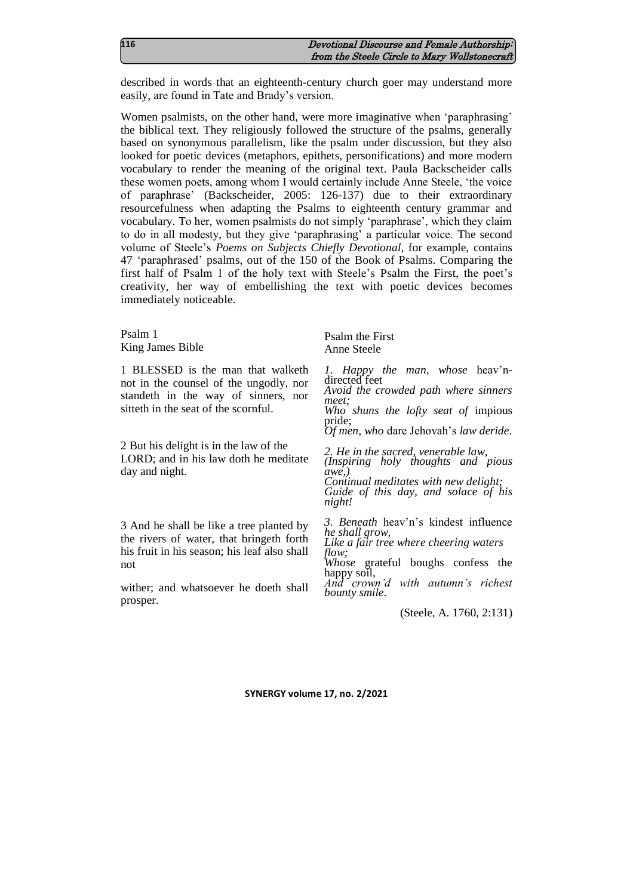| 116 | Devotional Discourse and Female Authorship:   |
|-----|-----------------------------------------------|
|     | from the Steele Circle to Mary Wollstonecraft |

described in words that an eighteenth-century church goer may understand more easily, are found in Tate and Brady's version.

Women psalmists, on the other hand, were more imaginative when 'paraphrasing' the biblical text. They religiously followed the structure of the psalms, generally based on synonymous parallelism, like the psalm under discussion, but they also looked for poetic devices (metaphors, epithets, personifications) and more modern vocabulary to render the meaning of the original text. Paula Backscheider calls these women poets, among whom I would certainly include Anne Steele, 'the voice of paraphrase' (Backscheider, 2005: 126-137) due to their extraordinary resourcefulness when adapting the Psalms to eighteenth century grammar and vocabulary. To her, women psalmists do not simply 'paraphrase', which they claim to do in all modesty, but they give 'paraphrasing' a particular voice. The second volume of Steele's *Poems on Subjects Chiefly Devotional*, for example, contains 47 'paraphrased' psalms, out of the 150 of the Book of Psalms. Comparing the first half of Psalm 1 of the holy text with Steele's Psalm the First, the poet's creativity, her way of embellishing the text with poetic devices becomes immediately noticeable.

Psalm 1 King James Bible

1 BLESSED is the man that walketh not in the counsel of the ungodly, nor standeth in the way of sinners, nor sitteth in the seat of the scornful.

2 But his delight is in the law of the LORD; and in his law doth he meditate day and night.

3 And he shall be like a tree planted by the rivers of water, that bringeth forth his fruit in his season; his leaf also shall not

wither; and whatsoever he doeth shall prosper.

Psalm the First Anne Steele

*1. Happy the man, whose* heav'ndirected feet

*Avoid the crowded path where sinners meet; Who shuns the lofty seat of* impious

pride; *Of men, who* dare Jehovah's *law deride*.

*2. He in the sacred, venerable law,*

*(Inspiring holy thoughts and pious awe,)*

*Continual meditates with new delight; Guide of this day, and solace of his night!*

*3. Beneath* heav'n's kindest influence *he shall grow, Like a fair tree where cheering waters* 

*flow;*

*Whose* grateful boughs confess the happy soil,

*And crown'd with autumn's richest bounty smile*.

(Steele, A. 1760, 2:131)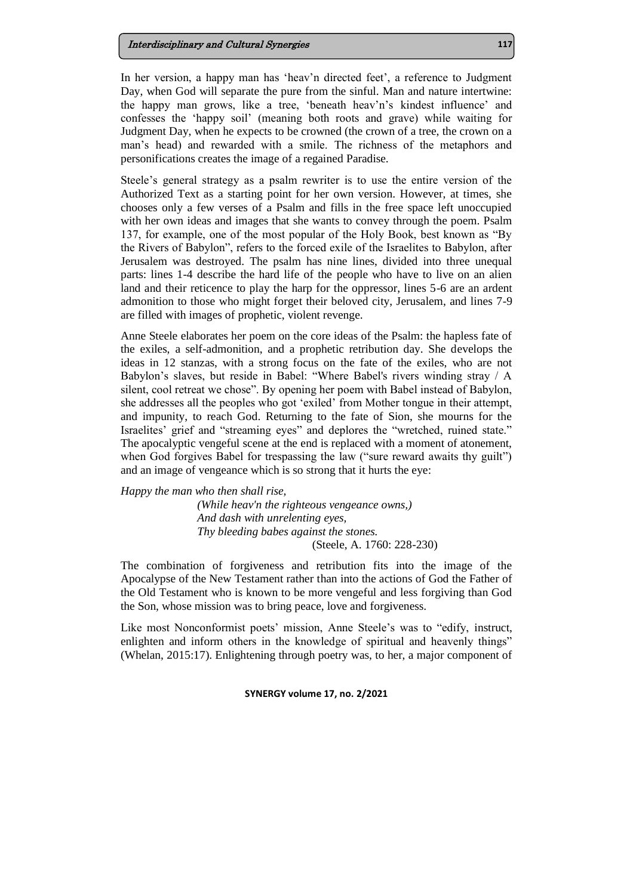In her version, a happy man has 'heav'n directed feet', a reference to Judgment Day, when God will separate the pure from the sinful. Man and nature intertwine: the happy man grows, like a tree, 'beneath heav'n's kindest influence' and confesses the 'happy soil' (meaning both roots and grave) while waiting for Judgment Day, when he expects to be crowned (the crown of a tree, the crown on a man's head) and rewarded with a smile. The richness of the metaphors and personifications creates the image of a regained Paradise.

Steele's general strategy as a psalm rewriter is to use the entire version of the Authorized Text as a starting point for her own version. However, at times, she chooses only a few verses of a Psalm and fills in the free space left unoccupied with her own ideas and images that she wants to convey through the poem. Psalm 137, for example, one of the most popular of the Holy Book, best known as "By the Rivers of Babylon", refers to the forced exile of the Israelites to Babylon, after Jerusalem was destroyed. The psalm has nine lines, divided into three unequal parts: lines 1-4 describe the hard life of the people who have to live on an alien land and their reticence to play the harp for the oppressor, lines 5-6 are an ardent admonition to those who might forget their beloved city, Jerusalem, and lines 7-9 are filled with images of prophetic, violent revenge.

Anne Steele elaborates her poem on the core ideas of the Psalm: the hapless fate of the exiles, a self-admonition, and a prophetic retribution day. She develops the ideas in 12 stanzas, with a strong focus on the fate of the exiles, who are not Babylon's slaves, but reside in Babel: "Where Babel's rivers winding stray / A silent, cool retreat we chose". By opening her poem with Babel instead of Babylon, she addresses all the peoples who got 'exiled' from Mother tongue in their attempt, and impunity, to reach God. Returning to the fate of Sion, she mourns for the Israelites' grief and "streaming eyes" and deplores the "wretched, ruined state." The apocalyptic vengeful scene at the end is replaced with a moment of atonement, when God forgives Babel for trespassing the law ("sure reward awaits thy guilt") and an image of vengeance which is so strong that it hurts the eye:

*Happy the man who then shall rise,*

*(While heav'n the righteous vengeance owns,) And dash with unrelenting eyes, Thy bleeding babes against the stones.* (Steele, A. 1760: 228-230)

The combination of forgiveness and retribution fits into the image of the Apocalypse of the New Testament rather than into the actions of God the Father of the Old Testament who is known to be more vengeful and less forgiving than God the Son, whose mission was to bring peace, love and forgiveness.

Like most Nonconformist poets' mission, Anne Steele's was to "edify, instruct, enlighten and inform others in the knowledge of spiritual and heavenly things" (Whelan, 2015:17). Enlightening through poetry was, to her, a major component of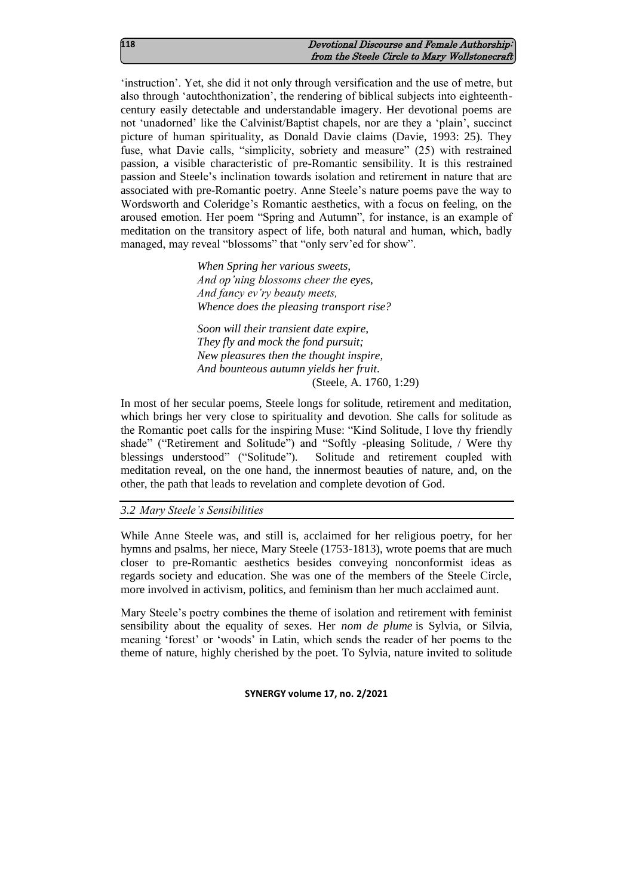| 118 | Devotional Discourse and Female Authorship:   |
|-----|-----------------------------------------------|
|     | from the Steele Circle to Mary Wollstonecraft |

'instruction'. Yet, she did it not only through versification and the use of metre, but also through 'autochthonization', the rendering of biblical subjects into eighteenthcentury easily detectable and understandable imagery. Her devotional poems are not 'unadorned' like the Calvinist/Baptist chapels, nor are they a 'plain', succinct picture of human spirituality, as Donald Davie claims (Davie, 1993: 25). They fuse, what Davie calls, "simplicity, sobriety and measure" (25) with restrained passion, a visible characteristic of pre-Romantic sensibility. It is this restrained passion and Steele's inclination towards isolation and retirement in nature that are associated with pre-Romantic poetry. Anne Steele's nature poems pave the way to Wordsworth and Coleridge's Romantic aesthetics, with a focus on feeling, on the aroused emotion. Her poem "Spring and Autumn", for instance, is an example of meditation on the transitory aspect of life, both natural and human, which, badly managed, may reveal "blossoms" that "only serv'ed for show".

> *When Spring her various sweets, And op'ning blossoms cheer the eyes, And fancy ev'ry beauty meets, Whence does the pleasing transport rise?*

*Soon will their transient date expire, They fly and mock the fond pursuit; New pleasures then the thought inspire, And bounteous autumn yields her fruit*. (Steele, A. 1760, 1:29)

In most of her secular poems, Steele longs for solitude, retirement and meditation, which brings her very close to spirituality and devotion. She calls for solitude as the Romantic poet calls for the inspiring Muse: "Kind Solitude, I love thy friendly shade" ("Retirement and Solitude") and "Softly -pleasing Solitude, / Were thy blessings understood" ("Solitude"). Solitude and retirement coupled with meditation reveal, on the one hand, the innermost beauties of nature, and, on the other, the path that leads to revelation and complete devotion of God.

*3.2 Mary Steele's Sensibilities*

While Anne Steele was, and still is, acclaimed for her religious poetry, for her hymns and psalms, her niece, Mary Steele (1753-1813), wrote poems that are much closer to pre-Romantic aesthetics besides conveying nonconformist ideas as regards society and education. She was one of the members of the Steele Circle, more involved in activism, politics, and feminism than her much acclaimed aunt.

Mary Steele's poetry combines the theme of isolation and retirement with feminist sensibility about the equality of sexes. Her *nom de plume* is Sylvia, or Silvia, meaning 'forest' or 'woods' in Latin, which sends the reader of her poems to the theme of nature, highly cherished by the poet. To Sylvia, nature invited to solitude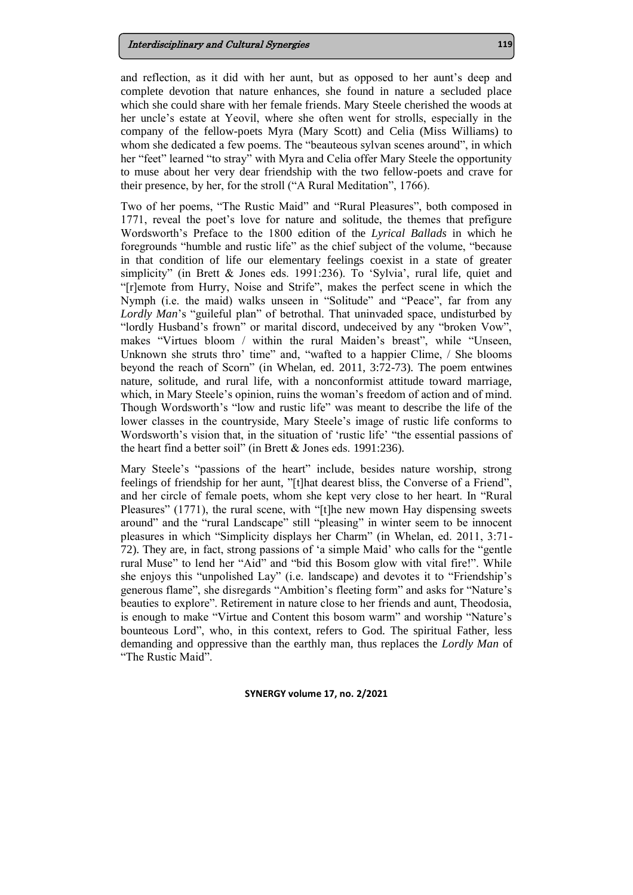### Interdisciplinary and Cultural Synergies **119**

and reflection, as it did with her aunt, but as opposed to her aunt's deep and complete devotion that nature enhances, she found in nature a secluded place which she could share with her female friends. Mary Steele cherished the woods at her uncle's estate at Yeovil, where she often went for strolls, especially in the company of the fellow-poets Myra (Mary Scott) and Celia (Miss Williams) to whom she dedicated a few poems. The "beauteous sylvan scenes around", in which her "feet" learned "to stray" with Myra and Celia offer Mary Steele the opportunity to muse about her very dear friendship with the two fellow-poets and crave for their presence, by her, for the stroll ("A Rural Meditation", 1766).

Two of her poems, "The Rustic Maid" and "Rural Pleasures", both composed in 1771, reveal the poet's love for nature and solitude, the themes that prefigure Wordsworth's Preface to the 1800 edition of the *Lyrical Ballads* in which he foregrounds "humble and rustic life" as the chief subject of the volume, "because in that condition of life our elementary feelings coexist in a state of greater simplicity" (in Brett & Jones eds. 1991:236). To 'Sylvia', rural life, quiet and "[r]emote from Hurry, Noise and Strife", makes the perfect scene in which the Nymph (i.e. the maid) walks unseen in "Solitude" and "Peace", far from any *Lordly Man*'s "guileful plan" of betrothal. That uninvaded space, undisturbed by "lordly Husband's frown" or marital discord, undeceived by any "broken Vow", makes "Virtues bloom / within the rural Maiden's breast", while "Unseen, Unknown she struts thro' time" and, "wafted to a happier Clime, / She blooms beyond the reach of Scorn" (in Whelan, ed. 2011, 3:72-73). The poem entwines nature, solitude, and rural life, with a nonconformist attitude toward marriage, which, in Mary Steele's opinion, ruins the woman's freedom of action and of mind. Though Wordsworth's "low and rustic life" was meant to describe the life of the lower classes in the countryside, Mary Steele's image of rustic life conforms to Wordsworth's vision that, in the situation of 'rustic life' "the essential passions of the heart find a better soil" (in Brett & Jones eds. 1991:236).

Mary Steele's "passions of the heart" include, besides nature worship, strong feelings of friendship for her aunt, "[t]hat dearest bliss, the Converse of a Friend", and her circle of female poets, whom she kept very close to her heart. In "Rural Pleasures" (1771), the rural scene, with "[t]he new mown Hay dispensing sweets around" and the "rural Landscape" still "pleasing" in winter seem to be innocent pleasures in which "Simplicity displays her Charm" (in Whelan, ed. 2011, 3:71- 72). They are, in fact, strong passions of 'a simple Maid' who calls for the "gentle rural Muse" to lend her "Aid" and "bid this Bosom glow with vital fire!". While she enjoys this "unpolished Lay" (i.e. landscape) and devotes it to "Friendship's generous flame", she disregards "Ambition's fleeting form" and asks for "Nature's beauties to explore". Retirement in nature close to her friends and aunt, Theodosia, is enough to make "Virtue and Content this bosom warm" and worship "Nature's bounteous Lord", who, in this context, refers to God. The spiritual Father, less demanding and oppressive than the earthly man, thus replaces the *Lordly Man* of "The Rustic Maid".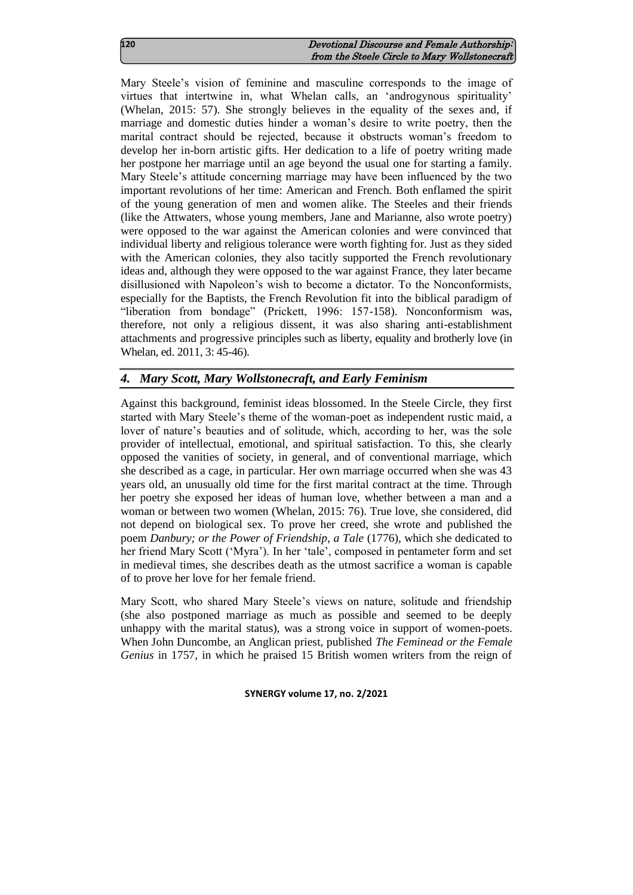| 120 | Devotional Discourse and Female Authorship:   |
|-----|-----------------------------------------------|
|     | from the Steele Circle to Mary Wollstonecraft |

Mary Steele's vision of feminine and masculine corresponds to the image of virtues that intertwine in, what Whelan calls, an 'androgynous spirituality' (Whelan, 2015: 57). She strongly believes in the equality of the sexes and, if marriage and domestic duties hinder a woman's desire to write poetry, then the marital contract should be rejected, because it obstructs woman's freedom to develop her in-born artistic gifts. Her dedication to a life of poetry writing made her postpone her marriage until an age beyond the usual one for starting a family. Mary Steele's attitude concerning marriage may have been influenced by the two important revolutions of her time: American and French. Both enflamed the spirit of the young generation of men and women alike. The Steeles and their friends (like the Attwaters, whose young members, Jane and Marianne, also wrote poetry) were opposed to the war against the American colonies and were convinced that individual liberty and religious tolerance were worth fighting for. Just as they sided with the American colonies, they also tacitly supported the French revolutionary ideas and, although they were opposed to the war against France, they later became disillusioned with Napoleon's wish to become a dictator. To the Nonconformists, especially for the Baptists, the French Revolution fit into the biblical paradigm of "liberation from bondage" (Prickett, 1996: 157-158). Nonconformism was, therefore, not only a religious dissent, it was also sharing anti-establishment attachments and progressive principles such as liberty, equality and brotherly love (in Whelan, ed. 2011, 3: 45-46).

# *4. Mary Scott, Mary Wollstonecraft, and Early Feminism*

Against this background, feminist ideas blossomed. In the Steele Circle, they first started with Mary Steele's theme of the woman-poet as independent rustic maid, a lover of nature's beauties and of solitude, which, according to her, was the sole provider of intellectual, emotional, and spiritual satisfaction. To this, she clearly opposed the vanities of society, in general, and of conventional marriage, which she described as a cage, in particular. Her own marriage occurred when she was 43 years old, an unusually old time for the first marital contract at the time. Through her poetry she exposed her ideas of human love, whether between a man and a woman or between two women (Whelan, 2015: 76). True love, she considered, did not depend on biological sex. To prove her creed, she wrote and published the poem *Danbury; or the Power of Friendship, a Tale* (1776), which she dedicated to her friend Mary Scott ('Myra'). In her 'tale', composed in pentameter form and set in medieval times, she describes death as the utmost sacrifice a woman is capable of to prove her love for her female friend.

Mary Scott, who shared Mary Steele's views on nature, solitude and friendship (she also postponed marriage as much as possible and seemed to be deeply unhappy with the marital status), was a strong voice in support of women-poets. When John Duncombe, an Anglican priest, published *The Feminead or the Female Genius* in 1757, in which he praised 15 British women writers from the reign of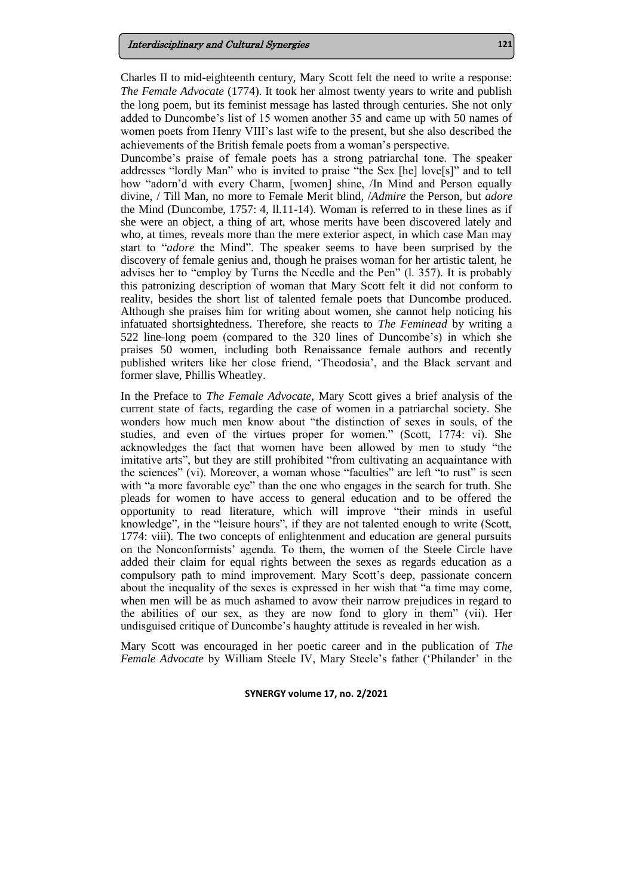Charles II to mid-eighteenth century, Mary Scott felt the need to write a response: *The Female Advocate* (1774). It took her almost twenty years to write and publish the long poem, but its feminist message has lasted through centuries. She not only added to Duncombe's list of 15 women another 35 and came up with 50 names of women poets from Henry VIII's last wife to the present, but she also described the achievements of the British female poets from a woman's perspective.

Duncombe's praise of female poets has a strong patriarchal tone. The speaker addresses "lordly Man" who is invited to praise "the Sex [he] love[s]" and to tell how "adorn'd with every Charm, [women] shine, /In Mind and Person equally divine, / Till Man, no more to Female Merit blind, /*Admire* the Person, but *adore* the Mind (Duncombe, 1757: 4, ll.11-14). Woman is referred to in these lines as if she were an object, a thing of art, whose merits have been discovered lately and who, at times, reveals more than the mere exterior aspect, in which case Man may start to "*adore* the Mind". The speaker seems to have been surprised by the discovery of female genius and, though he praises woman for her artistic talent, he advises her to "employ by Turns the Needle and the Pen" (l. 357). It is probably this patronizing description of woman that Mary Scott felt it did not conform to reality, besides the short list of talented female poets that Duncombe produced. Although she praises him for writing about women, she cannot help noticing his infatuated shortsightedness. Therefore, she reacts to *The Feminead* by writing a 522 line-long poem (compared to the 320 lines of Duncombe's) in which she praises 50 women, including both Renaissance female authors and recently published writers like her close friend, 'Theodosia', and the Black servant and former slave, Phillis Wheatley.

In the Preface to *The Female Advocate*, Mary Scott gives a brief analysis of the current state of facts, regarding the case of women in a patriarchal society. She wonders how much men know about "the distinction of sexes in souls, of the studies, and even of the virtues proper for women." (Scott, 1774: vi). She acknowledges the fact that women have been allowed by men to study "the imitative arts", but they are still prohibited "from cultivating an acquaintance with the sciences" (vi). Moreover, a woman whose "faculties" are left "to rust" is seen with "a more favorable eye" than the one who engages in the search for truth. She pleads for women to have access to general education and to be offered the opportunity to read literature, which will improve "their minds in useful knowledge", in the "leisure hours", if they are not talented enough to write (Scott, 1774: viii). The two concepts of enlightenment and education are general pursuits on the Nonconformists' agenda. To them, the women of the Steele Circle have added their claim for equal rights between the sexes as regards education as a compulsory path to mind improvement. Mary Scott's deep, passionate concern about the inequality of the sexes is expressed in her wish that "a time may come, when men will be as much ashamed to avow their narrow prejudices in regard to the abilities of our sex, as they are now fond to glory in them" (vii). Her undisguised critique of Duncombe's haughty attitude is revealed in her wish.

Mary Scott was encouraged in her poetic career and in the publication of *The Female Advocate* by William Steele IV, Mary Steele's father ('Philander' in the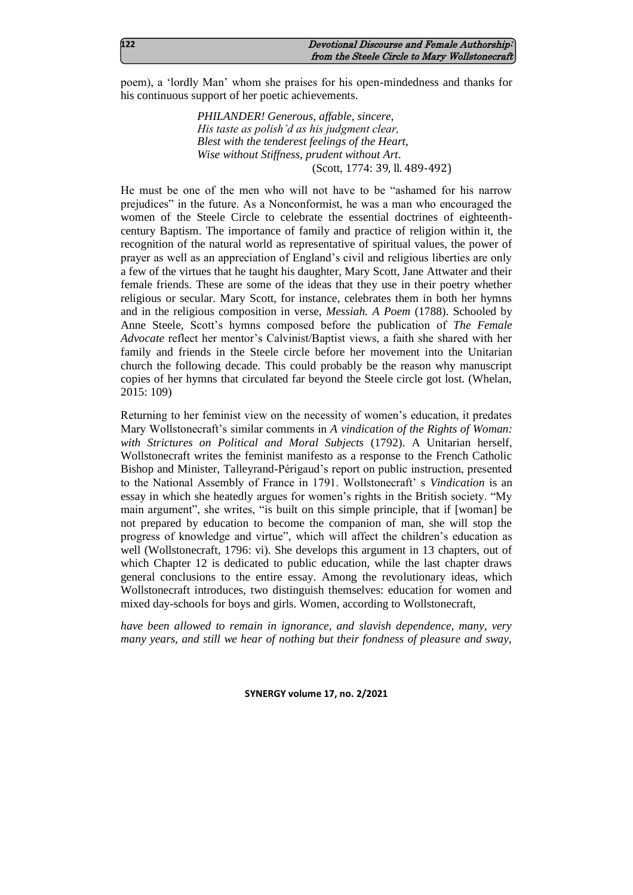poem), a 'lordly Man' whom she praises for his open-mindedness and thanks for his continuous support of her poetic achievements.

> *PHILANDER! Generous, affable, sincere, His taste as polish'd as his judgment clear, Blest with the tenderest feelings of the Heart, Wise without Stiffness, prudent without Art*. (Scott, 1774: 39, ll. 489-492)

He must be one of the men who will not have to be "ashamed for his narrow prejudices" in the future. As a Nonconformist, he was a man who encouraged the women of the Steele Circle to celebrate the essential doctrines of eighteenthcentury Baptism. The importance of family and practice of religion within it, the recognition of the natural world as representative of spiritual values, the power of prayer as well as an appreciation of England's civil and religious liberties are only a few of the virtues that he taught his daughter, Mary Scott, Jane Attwater and their female friends. These are some of the ideas that they use in their poetry whether religious or secular. Mary Scott, for instance, celebrates them in both her hymns and in the religious composition in verse, *Messiah. A Poem* (1788). Schooled by Anne Steele, Scott's hymns composed before the publication of *The Female Advocate* reflect her mentor's Calvinist/Baptist views, a faith she shared with her family and friends in the Steele circle before her movement into the Unitarian church the following decade. This could probably be the reason why manuscript copies of her hymns that circulated far beyond the Steele circle got lost. (Whelan, 2015: 109)

Returning to her feminist view on the necessity of women's education, it predates Mary Wollstonecraft's similar comments in *A vindication of the Rights of Woman: with Strictures on Political and Moral Subjects* (1792). A Unitarian herself, Wollstonecraft writes the feminist manifesto as a response to the French Catholic Bishop and Minister, Talleyrand-Périgaud's report on public instruction, presented to the National Assembly of France in 1791. Wollstonecraft' s *Vindication* is an essay in which she heatedly argues for women's rights in the British society. "My main argument", she writes, "is built on this simple principle, that if [woman] be not prepared by education to become the companion of man, she will stop the progress of knowledge and virtue", which will affect the children's education as well (Wollstonecraft, 1796: vi). She develops this argument in 13 chapters, out of which Chapter 12 is dedicated to public education, while the last chapter draws general conclusions to the entire essay. Among the revolutionary ideas, which Wollstonecraft introduces, two distinguish themselves: education for women and mixed day-schools for boys and girls. Women, according to Wollstonecraft,

*have been allowed to remain in ignorance, and slavish dependence, many, very many years, and still we hear of nothing but their fondness of pleasure and sway,*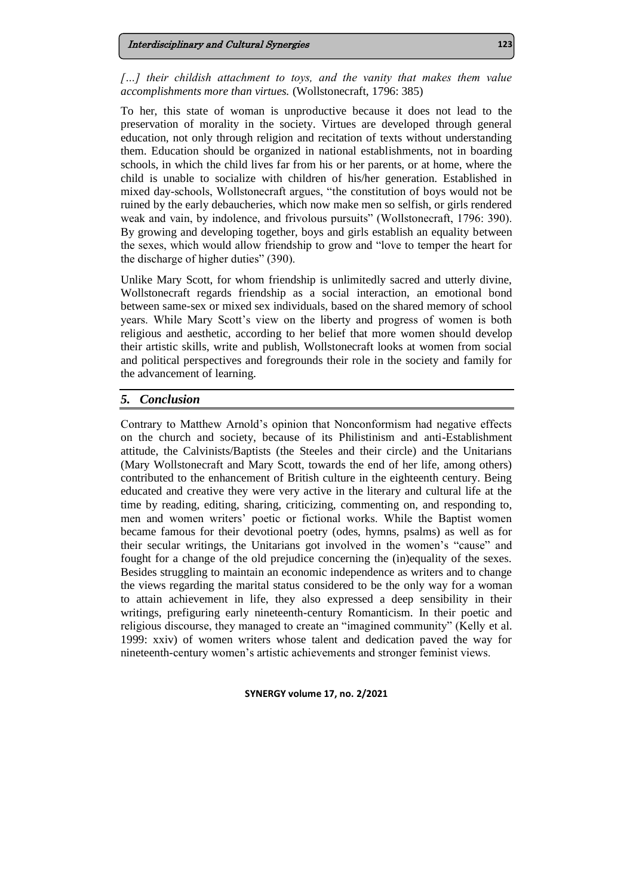*[…] their childish attachment to toys, and the vanity that makes them value accomplishments more than virtues.* (Wollstonecraft, 1796: 385)

To her, this state of woman is unproductive because it does not lead to the preservation of morality in the society. Virtues are developed through general education, not only through religion and recitation of texts without understanding them. Education should be organized in national establishments, not in boarding schools, in which the child lives far from his or her parents, or at home, where the child is unable to socialize with children of his/her generation. Established in mixed day-schools, Wollstonecraft argues, "the constitution of boys would not be ruined by the early debaucheries, which now make men so selfish, or girls rendered weak and vain, by indolence, and frivolous pursuits" (Wollstonecraft, 1796: 390). By growing and developing together, boys and girls establish an equality between the sexes, which would allow friendship to grow and "love to temper the heart for the discharge of higher duties" (390).

Unlike Mary Scott, for whom friendship is unlimitedly sacred and utterly divine, Wollstonecraft regards friendship as a social interaction, an emotional bond between same-sex or mixed sex individuals, based on the shared memory of school years. While Mary Scott's view on the liberty and progress of women is both religious and aesthetic, according to her belief that more women should develop their artistic skills, write and publish, Wollstonecraft looks at women from social and political perspectives and foregrounds their role in the society and family for the advancement of learning.

# *5. Conclusion*

Contrary to Matthew Arnold's opinion that Nonconformism had negative effects on the church and society, because of its Philistinism and anti-Establishment attitude, the Calvinists/Baptists (the Steeles and their circle) and the Unitarians (Mary Wollstonecraft and Mary Scott, towards the end of her life, among others) contributed to the enhancement of British culture in the eighteenth century. Being educated and creative they were very active in the literary and cultural life at the time by reading, editing, sharing, criticizing, commenting on, and responding to, men and women writers' poetic or fictional works. While the Baptist women became famous for their devotional poetry (odes, hymns, psalms) as well as for their secular writings, the Unitarians got involved in the women's "cause" and fought for a change of the old prejudice concerning the (in)equality of the sexes. Besides struggling to maintain an economic independence as writers and to change the views regarding the marital status considered to be the only way for a woman to attain achievement in life, they also expressed a deep sensibility in their writings, prefiguring early nineteenth-century Romanticism. In their poetic and religious discourse, they managed to create an "imagined community" (Kelly et al. 1999: xxiv) of women writers whose talent and dedication paved the way for nineteenth-century women's artistic achievements and stronger feminist views.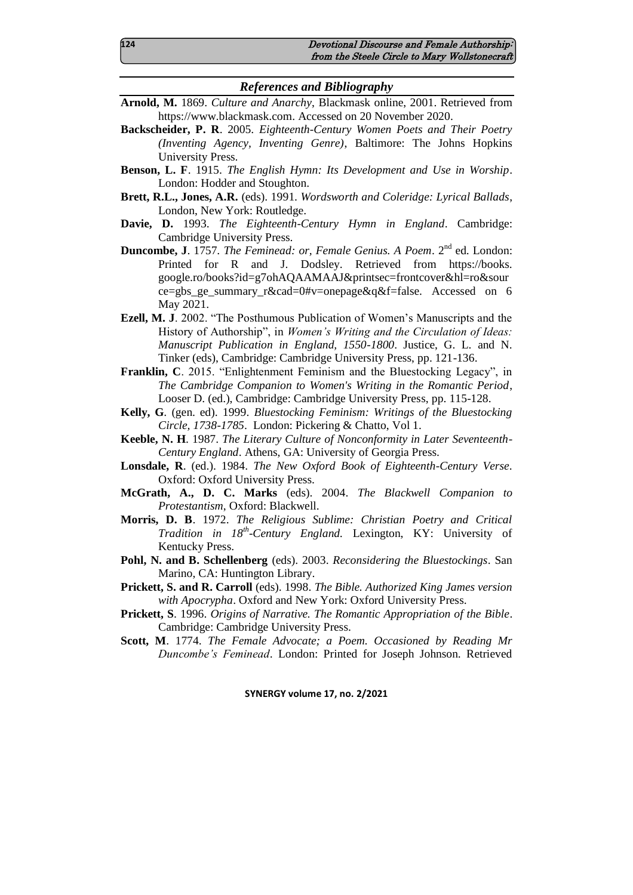### *References and Bibliography*

- **Arnold, M.** 1869. *Culture and Anarchy*, Blackmask online, 2001. Retrieved from [https://www.blackmask.com.](https://www.blackmask.com/) Accessed on 20 November 2020.
- **Backscheider, P. R**. 2005. *Eighteenth-Century Women Poets and Their Poetry (Inventing Agency, Inventing Genre)*, Baltimore: The Johns Hopkins University Press.
- **Benson, L. F**. 1915. *The English Hymn: Its Development and Use in Worship*. London: Hodder and Stoughton.
- **Brett, R.L., Jones, A.R.** (eds). 1991. *Wordsworth and Coleridge: Lyrical Ballads*, London, New York: Routledge.
- **Davie, D.** 1993. *The Eighteenth-Century Hymn in England*. Cambridge: Cambridge University Press.
- **Duncombe, J**. 1757. *The Feminead: or, Female Genius. A Poem*. 2nd ed. London: Printed for R and J. Dodsley. Retrieved from [https://books.](https://books.google.ro/books?id=g7ohAQAAMAAJ&printsec=frontcover&hl=ro&source=gbs_ge_summary_r&cad=0#v=onepage&q&f=false) [google.ro/books?id=g7ohAQAAMAAJ&printsec=frontcover&hl=ro&sour](https://books.google.ro/books?id=g7ohAQAAMAAJ&printsec=frontcover&hl=ro&source=gbs_ge_summary_r&cad=0#v=onepage&q&f=false) [ce=gbs\\_ge\\_summary\\_r&cad=0#v=onepage&q&f=false.](https://books.google.ro/books?id=g7ohAQAAMAAJ&printsec=frontcover&hl=ro&source=gbs_ge_summary_r&cad=0#v=onepage&q&f=false) Accessed on 6 May 2021.
- **Ezell, M. J**. 2002. "The Posthumous Publication of Women's Manuscripts and the History of Authorship", in *Women's Writing and the Circulation of Ideas: Manuscript Publication in England, 1550-1800*. Justice, G. L. and N. Tinker (eds), Cambridge: Cambridge University Press, pp. 121-136.
- **Franklin, C**. 2015. "Enlightenment Feminism and the Bluestocking Legacy", in *The Cambridge Companion to Women's Writing in the Romantic Period*, Looser D. (ed.), Cambridge: Cambridge University Press, pp. 115-128.
- **Kelly, G**. (gen. ed). 1999. *Bluestocking Feminism: Writings of the Bluestocking Circle, 1738-1785*. London: Pickering & Chatto, Vol 1.
- **Keeble, N. H**. 1987. *The Literary Culture of Nonconformity in Later Seventeenth-Century England*. Athens, GA: University of Georgia Press.
- **Lonsdale, R**. (ed.). 1984. *The New Oxford Book of Eighteenth-Century Verse*. Oxford: Oxford University Press.
- **McGrath, A., D. C. Marks** (eds). 2004. *The Blackwell Companion to Protestantism*, Oxford: Blackwell.
- **Morris, D. B**. 1972. *The Religious Sublime: Christian Poetry and Critical Tradition in 18th -Century England.* Lexington, KY: University of Kentucky Press.
- **Pohl, N. and B. Schellenberg** (eds). 2003. *Reconsidering the Bluestockings*. San Marino, CA: Huntington Library.
- **Prickett, S. and R. Carroll** (eds). 1998. *The Bible. Authorized King James version with Apocrypha*. Oxford and New York: Oxford University Press.
- **Prickett, S**. 1996. *Origins of Narrative. The Romantic Appropriation of the Bible*. Cambridge: Cambridge University Press.
- **Scott, M**. 1774. *The Female Advocate; a Poem. Occasioned by Reading Mr Duncombe's Feminead*. London: Printed for Joseph Johnson. Retrieved